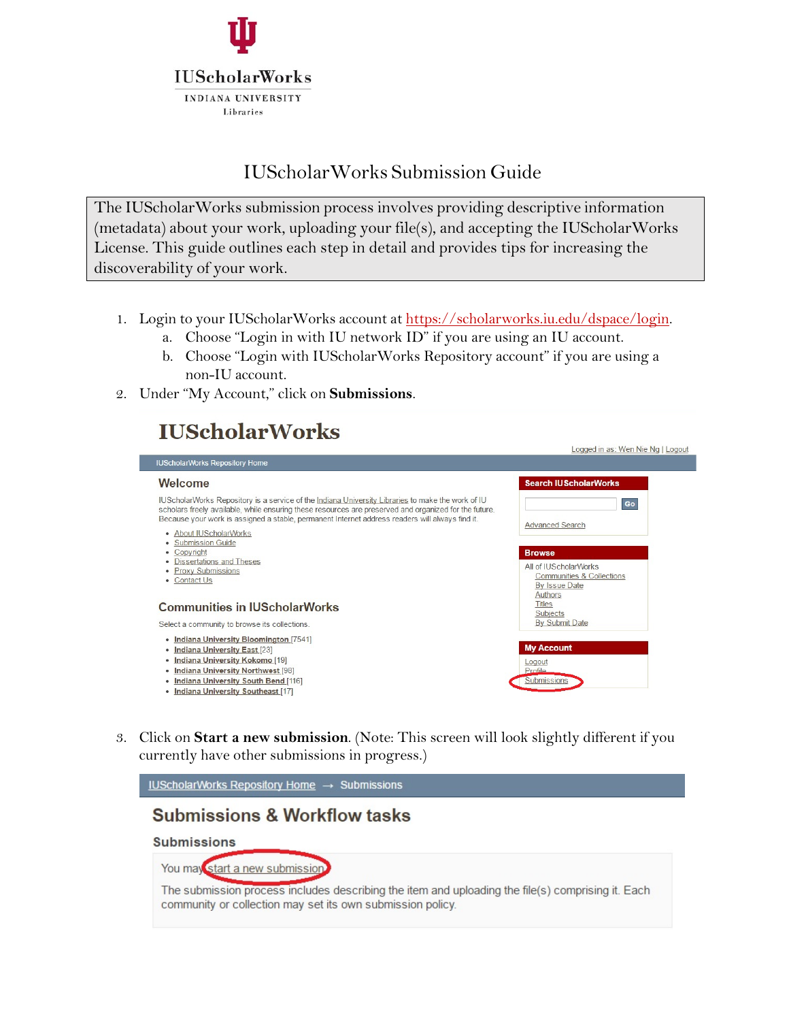

# IUScholarWorks Submission Guide

The IUScholarWorks submission process involves providing descriptive information (metadata) about your work, uploading your file(s), and accepting the IUScholarWorks License. This guide outlines each step in detail and provides tips for increasing the discoverability of your work.

- 1. Login to your IUScholarWorks account at [https://scholarworks.iu.edu/dspace/login.](https://scholarworks.iu.edu/dspace/login)
	- a. Choose "Login in with IU network ID" if you are using an IU account.
	- b. Choose "Login with IUScholarWorks Repository account" if you are using a non-IU account.
- 2. Under "My Account," click on **Submissions**.

# **IUScholarWorks**



3. Click on **Start a new submission**. (Note: This screen will look slightly different if you currently have other submissions in progress.)

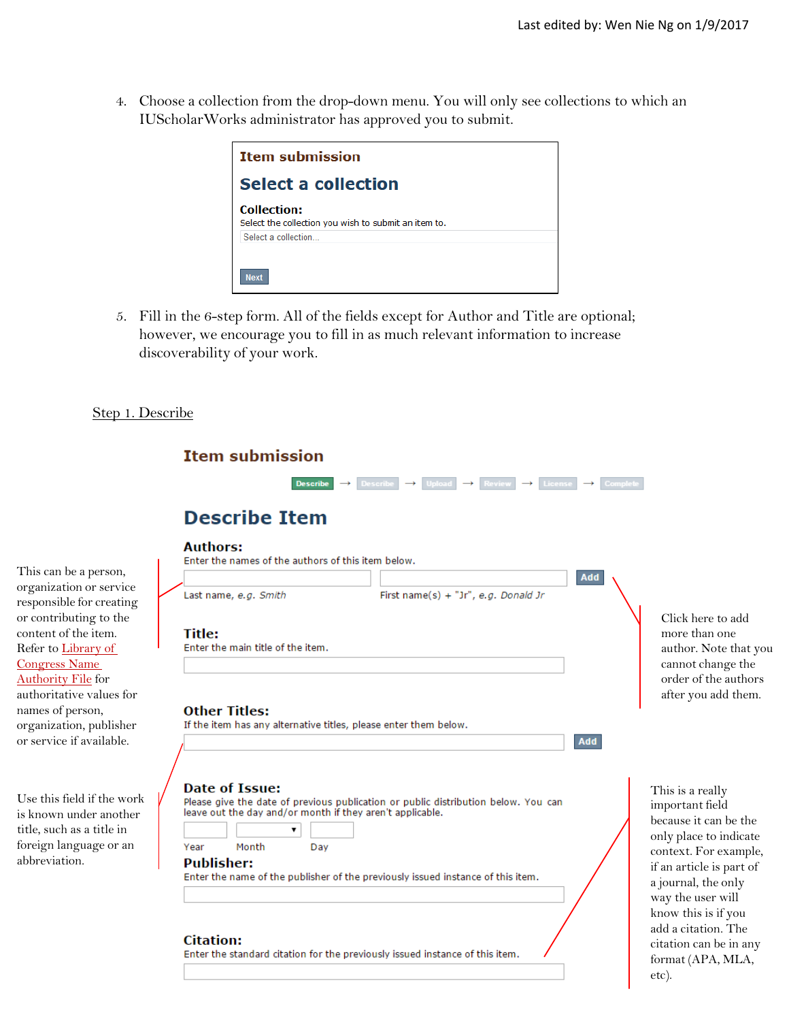4. Choose a collection from the drop-down menu. You will only see collections to which an IUScholarWorks administrator has approved you to submit.



5. Fill in the 6-step form. All of the fields except for Author and Title are optional; however, we encourage you to fill in as much relevant information to increase discoverability of your work.

### Step 1. Describe

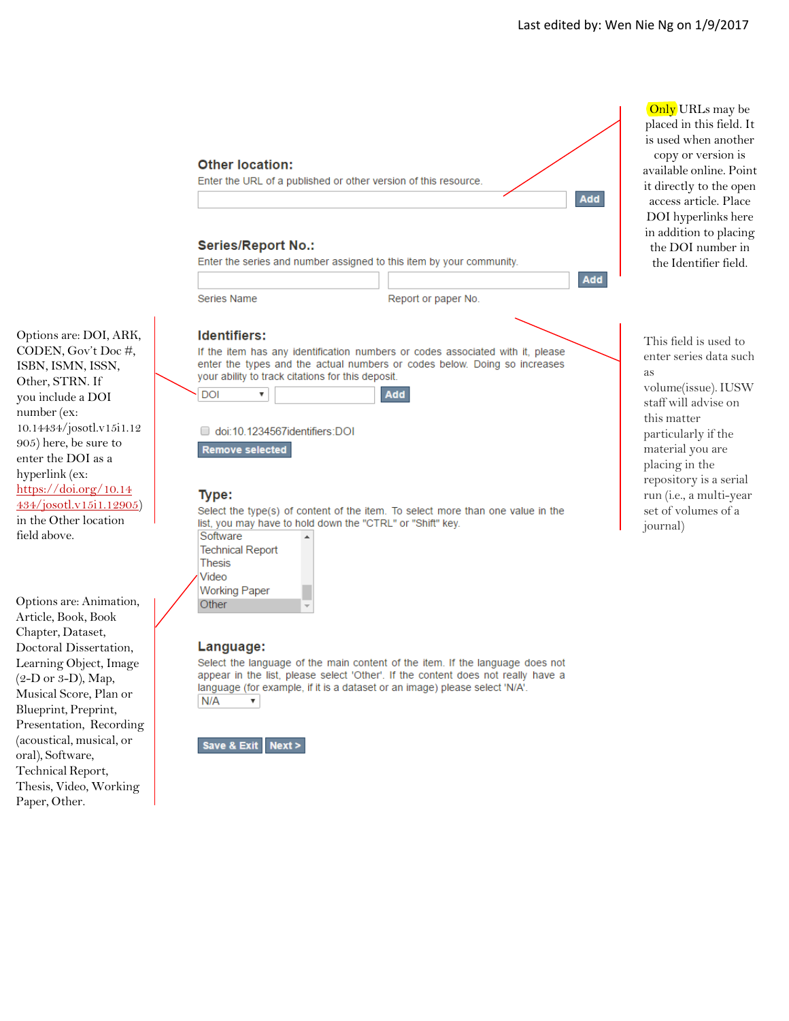Add

Add

# **Other location:** Enter the URL of a published or other version of this resource. **Series/Report No.:** Enter the series and number assigned to this item by your community. Series Name Report or paper No. **Identifiers:** If the item has any identification numbers or codes associated with it, please enter the types and the actual numbers or codes below. Doing so increases your ability to track citations for this deposit. **Add DOI**  $\overline{\mathbf{v}}$ doi:10.1234567identifiers:DOI Remove selected

### Type:

Select the type(s) of content of the item. To select more than one value in the list, you may have to hold down the "CTRL" or "Shift" key.

| Software                |
|-------------------------|
| <b>Technical Report</b> |
| Thesis                  |
| Video                   |
| <b>Working Paper</b>    |
| Other                   |
|                         |

#### Language:

Select the language of the main content of the item. If the language does not appear in the list, please select 'Other'. If the content does not really have a language (for example, if it is a dataset or an image) please select 'N/A'.  $N/A$ 



Only URLs may be placed in this field. It is used when another copy or version is available online. Point it directly to the open access article. Place DOI hyperlinks here in addition to placing the DOI number in the Identifier field.

This field is used to enter series data such as volume(issue).IUSW staff will advise on this matter particularly if the material you are placing in the repository is a serial run (i.e., a multi -year set of volumes of a journal)

Options are: DOI, ARK, CODEN, Gov't Doc #, ISBN, ISMN, ISSN, Other, STRN . If you include a DOI number(ex: 10.14434/josotl.v15i1.12 905) here, be sure to enter the DOI as a hyperlink (ex: [https://doi.org/10.14](http://dx.doi.org/10.14434/josotl.v15i1.12905) [434/josotl.v15i1.12905](http://dx.doi.org/10.14434/josotl.v15i1.12905) ) in the Other location field above.

Options are: Animation, Article, Book, Book Chapter, Dataset, Doctoral Dissertation, Learning Object, Image (2-D or 3-D), Map, Musical Score, Plan or Blueprint, Preprint, Presentation, Recording (acoustical, musical, or oral), Software, Technical Report, Thesis, Video, Working Paper, Other.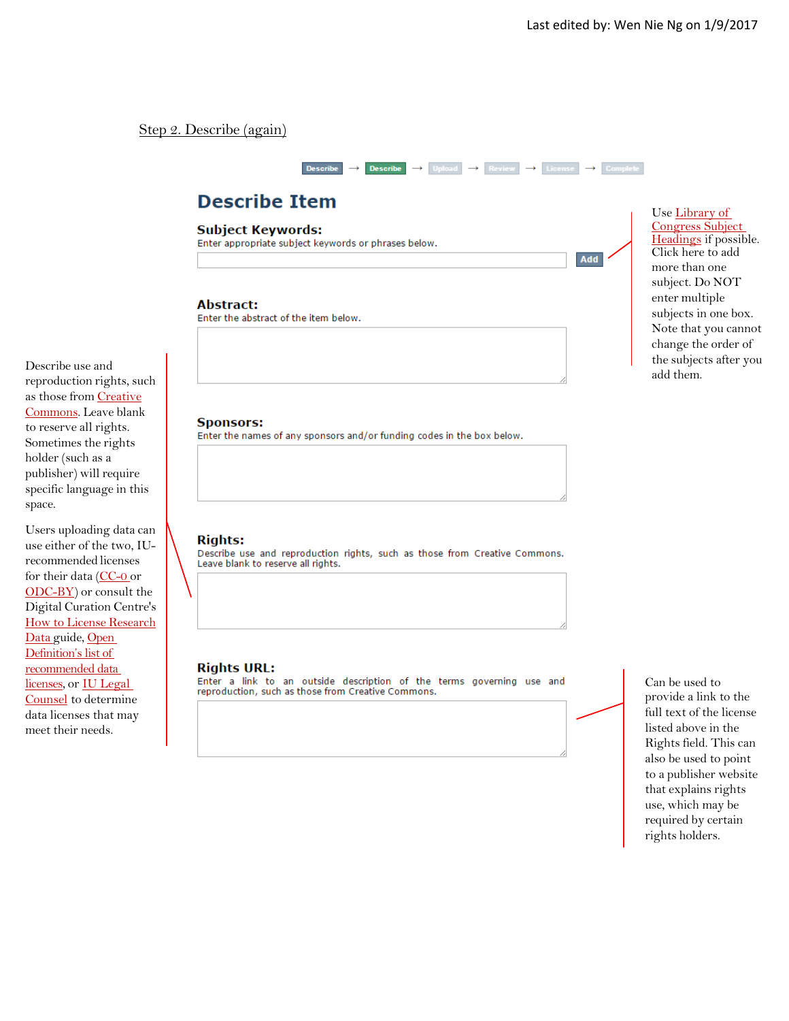Add

### Step 2. Describe (again)



# **Describe Item**

**Subject Keywords:** 

Enter appropriate subject keywords or phrases below.

#### **Abstract:**

Enter the abstract of the item below.

Describe use and reproduction rights, such as those from [Creative](http://creativecommons.org/licenses/) [Commons.](http://creativecommons.org/licenses/) Leave blank to reserve all rights. Sometimes the rights holder (such as a publisher) will require specific language in this space.

Users uploading data can use either of the two, IUrecommended licenses for their data [\(CC-0](http://creativecommons.org/publicdomain/zero/1.0/) or [ODC-BY\)](http://opendefinition.org/licenses/odc-by/) or consult the Digital Curation Centre's How to License [Research](http://www.dcc.ac.uk/resources/how-guides/license-research-data) [Data](http://www.dcc.ac.uk/resources/how-guides/license-research-data) guide, Open [Definition's list of](http://opendefinition.org/licenses/)  [recommended data](http://opendefinition.org/licenses/)  [licenses,](http://opendefinition.org/licenses/) or [IU Legal](https://vpgc.iu.edu/)  [Counsel](https://vpgc.iu.edu/) to determine data licenses that may meet their needs.

**Sponsors:** 

Enter the names of any sponsors and/or funding codes in the box below.

#### **Rights:**

Describe use and reproduction rights, such as those from Creative Commons. Leave blank to reserve all rights.

#### **Rights URL:**

Enter a link to an outside description of the terms governing use and reproduction, such as those from Creative Commons.

Can be used to provide a link to the full text of the license listed above in the Rights field. This can also be used to point to a publisher website that explains rights use, which may be required by certain rights holders.

Use [Library of](http://id.loc.gov/authorities/subjects.html)  [Congress Subject](http://id.loc.gov/authorities/subjects.html)  [Headings](http://id.loc.gov/authorities/subjects.html) if possible. Click here to add more than one subject. Do NOT enter multiple subjects in one box. Note that you cannot change the order of the subjects after you add them.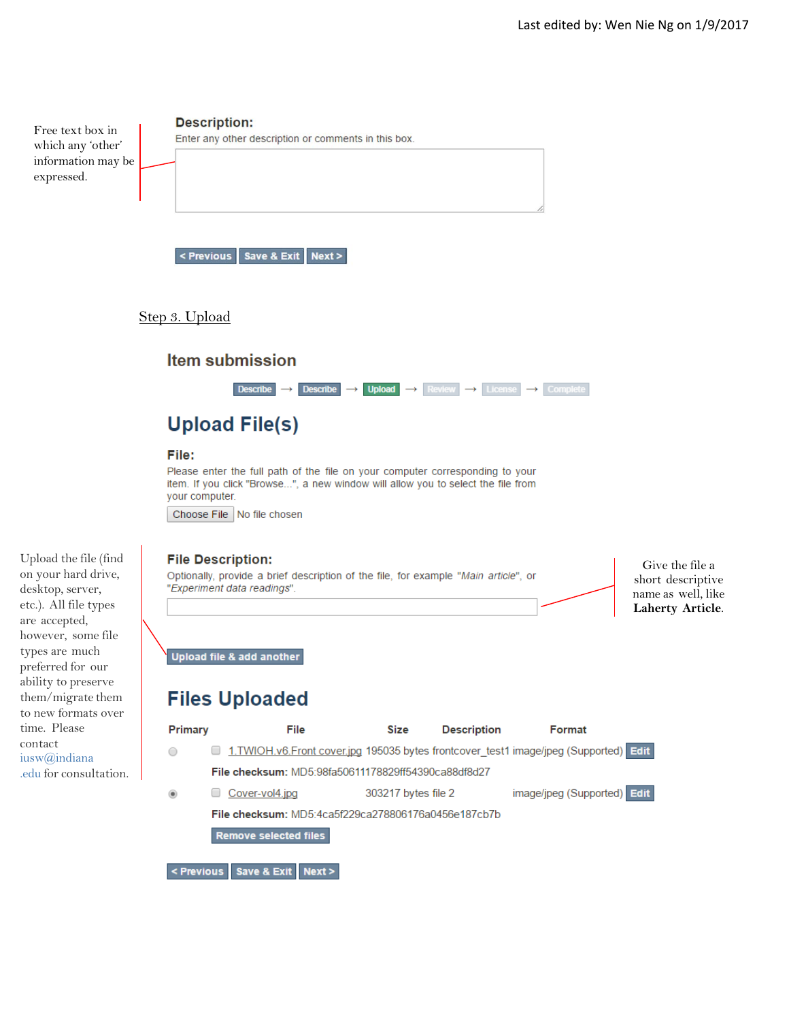

## Step 3. Upload

# **Item submission**



# **Upload File(s)**

#### File:

Please enter the full path of the file on your computer corresponding to your item. If you click "Browse...", a new window will allow you to select the file from your computer.

Choose File | No file chosen

#### **File Description:**

Optionally, provide a brief description of the file, for example "Main article", or "Experiment data readings".

Give the file a short descriptive name as well, like **Laherty Article**.

Upload file & add another

# **Files Uploaded**



Upload the file (find on your hard drive, desktop, server, etc.). All file types are accepted, however, some file types are much preferred for our ability to preserve them/migrate them to new formats over time. Please contact [iusw@indiana](mailto:iusw@indiana.edu) [.edu](mailto:iusw@indiana.edu) for consultation.